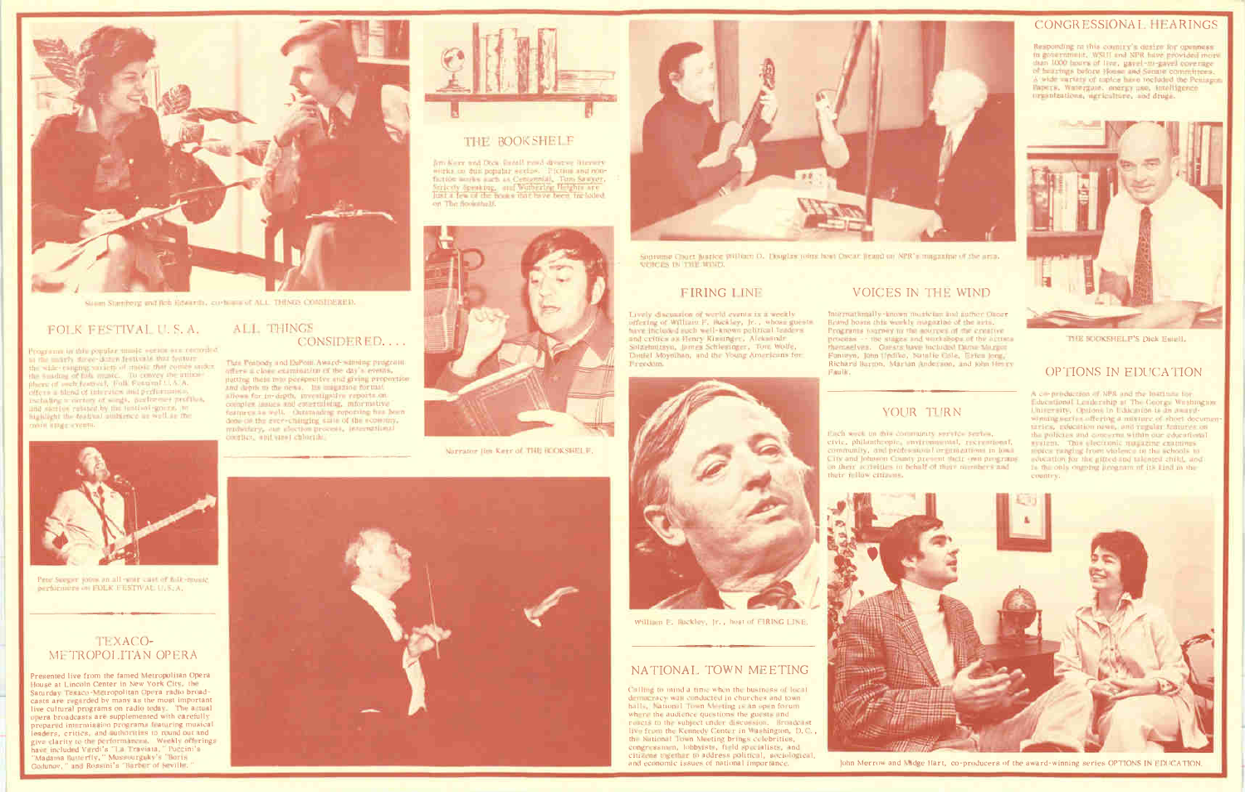

So an Standery and fich Edwards, cush and ALL THINGS CONSTIERED.

#### FOLK FESTIVAL U.S.A.

contains in this popular maste serior are commited the mark street-dimensionals that featurewhile-example variants of massive that comes smoon such a full mate. To come the arms hers of soch featurity, finds Feature I.I. A.A. flexe a blind of this riles had performance. whally a northy of work, parliamed profiles, ad sterios related by the lestiwal-goers, by i hight the restinal additioned as well as the **WITH HIDES VOITE.** 

#### offices a close extraination of the day's events, putting them may person efter and fixing proportion. and depth to the new . It's an a increased allow for he depth, in catiguding reports on complex in the and entertilian, informative

ALI THINGS

fortness as well. Outeranders reporting his Nondoo, on the ever-chilinging suits of the community. continu, unit un famborità

This Pentodes and DuPottCAst Inde-stimule programm-

 $CONFRE$ 



THE BOOK SHELF

firm Kerr and Dice Establ rand diverse literary within to this popular series. Fiction and row-Certerial, Ban Striver, Virksen, Striver, Striver, Striver, Striver, Striver, Striver, Striver, Striver, Striver, Striver, Striver, Striver, Striver, Striver, Striver, Striver, Striver, Striver, Striver, Striver, Striver,

on Tun Society II.

Narr for Jin Kerr of THE HOKSHELT,



Pate Second parts and Heroit can be radio music p riorning on FOLK FESTIVAL U.S.A.

#### TEXACO-MI TROPOLITAN OPERA

Presented live from the famed Metropolitan Opera House at Lincoln Center in New York City, the Saturday Texaco-Miltropolitan Opera radio breadcasts are r garded by many as the most important live cultural programs on radio today. The artual pera broadcasts are supplemented with carefully repared intermission programe f aturing musical eaders, critics, and authorities to round out and give clarity to the performancie. Workly off rings have included Verdi's "La Traviata, "Purnini's Madama Butterfly," Musscurgeky's "Boris" Godunov," and Rossani's 'Barb r of Seville.





Supreme C surf histice william O. Fragles joins host Ovear jirand on NPR's magazina of the arts, VOICES IN THE MIND.

#### FIRING LINE

Lincly discussion of world evints is a seekly off ring of Willmin F. Backley, Jr., whose cuests have included such vill-known political leaders. and critics as Henry Kis inger, Alebandr Sala hmtsyn, James Schlesinger, Ton Volre, Pani I Moynthin, and the Young Americans for He com.



#### NATIONAL TOWN MEETING

Calling to mind a time when the business of lecal dinneracy was conducted in churches and town halls, 'attonul for n X - ting is an op n forum where the audience questions the guests and reacts to the subject under discussion. Broadcast live from the Kennedy Center in Washington, D.C., the National Town Meeting brings celebrities, congr ssm n, lobbyists, fild specialists, and citizens togeth r to address political, sociological, and economic issues of national importance.

Internationally how a notice in and author O car Brand home this will be magazine of the riving Programs journey in the sources of the entative process - - the stages and workshops of the actives themselves. Carsts have included that the trans-Fontevn, John Updike, Natalie Cole, Tirica Jorn Richard Burlon, Marian Anderson, and John Heary Faulk.

Fich will bu one community stations series, civic, philanthropic surfrontient I, receivingnal, community, and profits a mail or announcement in loss City and Johnson County present their own programs in their conditions in both If of their numbers and their r llow citi ins.



### **VOICES IN THE WIND**

## YOUR TURN

### CONGRESSIONAL HEARINGS

Responding maints committ's desire may openness. in go cruth lit, WSUI and NPR have provided mere than 1000 hours of fire, gavel-to-gavel coverage of Larings before House and Senate committees. A wide mertin of repies have meluded the Petilago. Papers, Watergare, neerly use, intelligence first nizations, arrivalture, and drugs.



THE FOOKSHELF'S Dick Estell.

### OPTIONS IN FIUCATION

is co-production radial? and the Institution for Education (I I and it happens the Coord). Vanshington University, Option in I die non is an assistvinning on offering a mixture of short decemer taries, aduction news, and regular names on the policitys and concern to trhin our calculational resume the lectronic numering extinings. tapics ranging from the in the scheds to concertion for the gifted and talented child, and I the only on an, here am of its lind in the country.

John Merrow and vildge Hart, co-producers of the award-winning series OPTIONS IN FDUCATION.